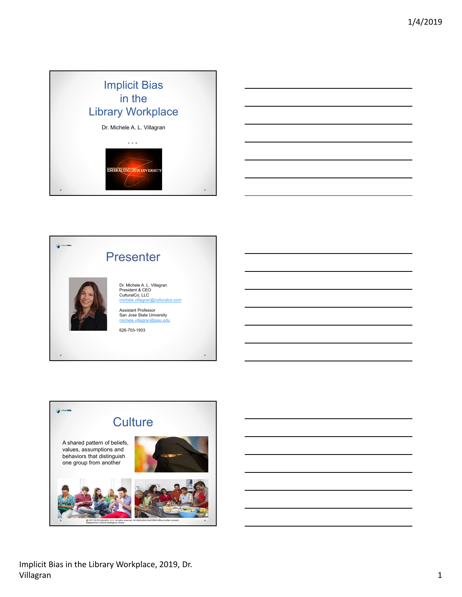





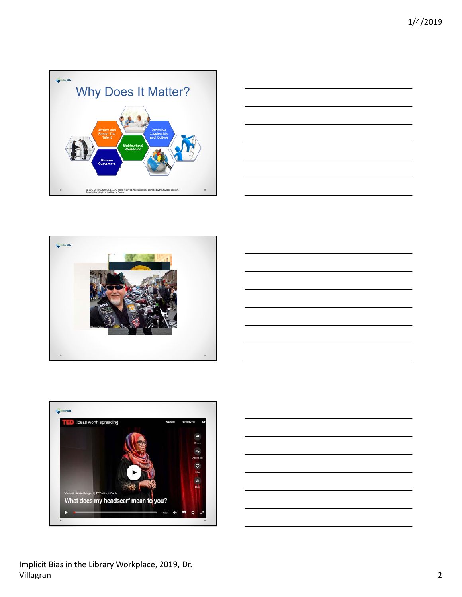









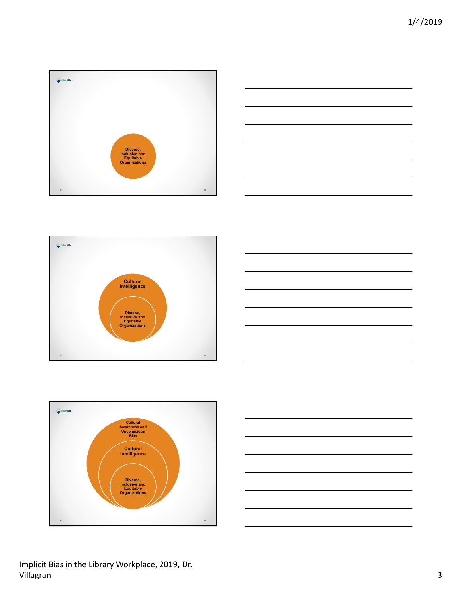









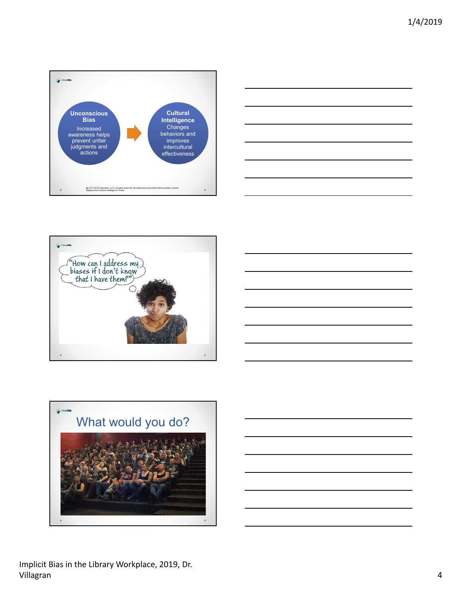







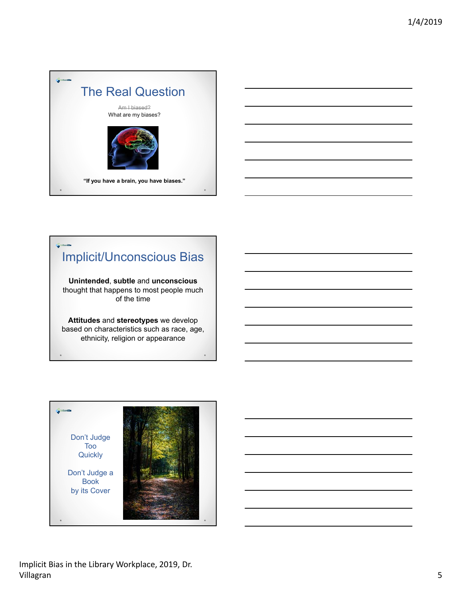



# Implicit/Unconscious Bias

**Unintended**, **subtle** and **unconscious** thought that happens to most people much of the time

**Attitudes** and **stereotypes** we develop based on characteristics such as race, age, ethnicity, religion or appearance

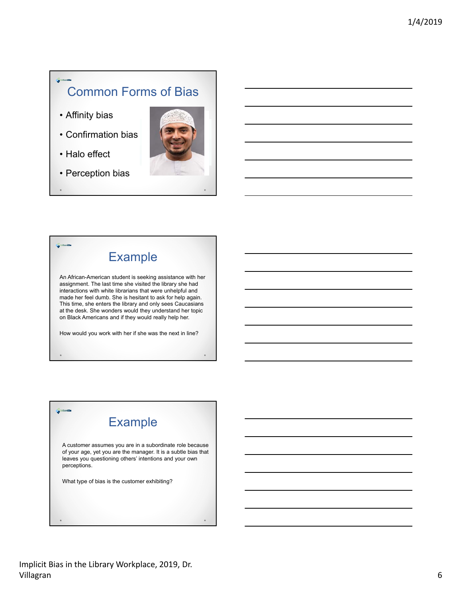#### Common Forms of Bias

- Affinity bias
- Confirmation bias
- Halo effect
- Perception bias





An African-American student is seeking assistance with her assignment. The last time she visited the library she had interactions with white librarians that were unhelpful and made her feel dumb. She is hesitant to ask for help again. This time, she enters the library and only sees Caucasians at the desk. She wonders would they understand her topic on Black Americans and if they would really help her.

How would you work with her if she was the next in line?

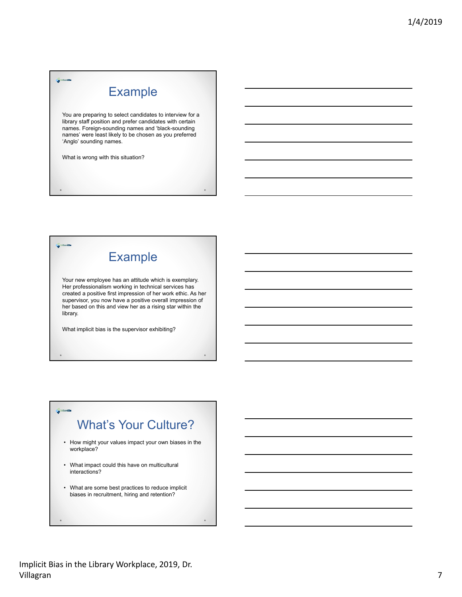### **Example**

You are preparing to select candidates to interview for a library staff position and prefer candidates with certain names. Foreign-sounding names and 'black-sounding names' were least likely to be chosen as you preferred 'Anglo' sounding names.

What is wrong with this situation?

## Example

Your new employee has an attitude which is exemplary. Her professionalism working in technical services has created a positive first impression of her work ethic. As her supervisor, you now have a positive overall impression of her based on this and view her as a rising star within the library.

What implicit bias is the supervisor exhibiting?

#### What's Your Culture?

- How might your values impact your own biases in the workplace?
- What impact could this have on multicultural interactions?
- What are some best practices to reduce implicit biases in recruitment, hiring and retention?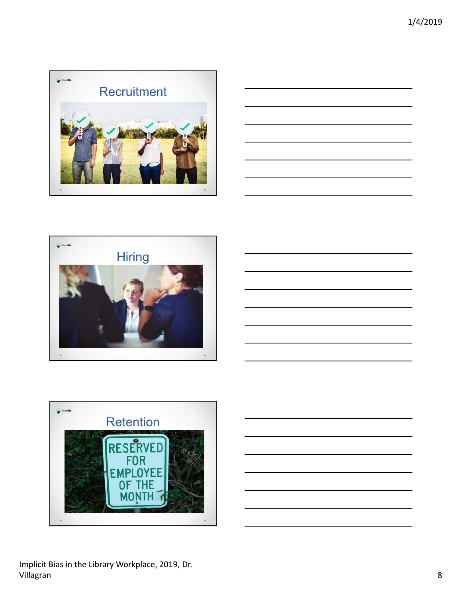







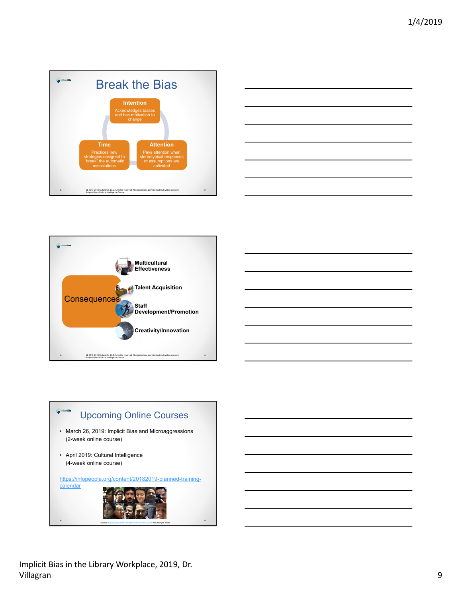